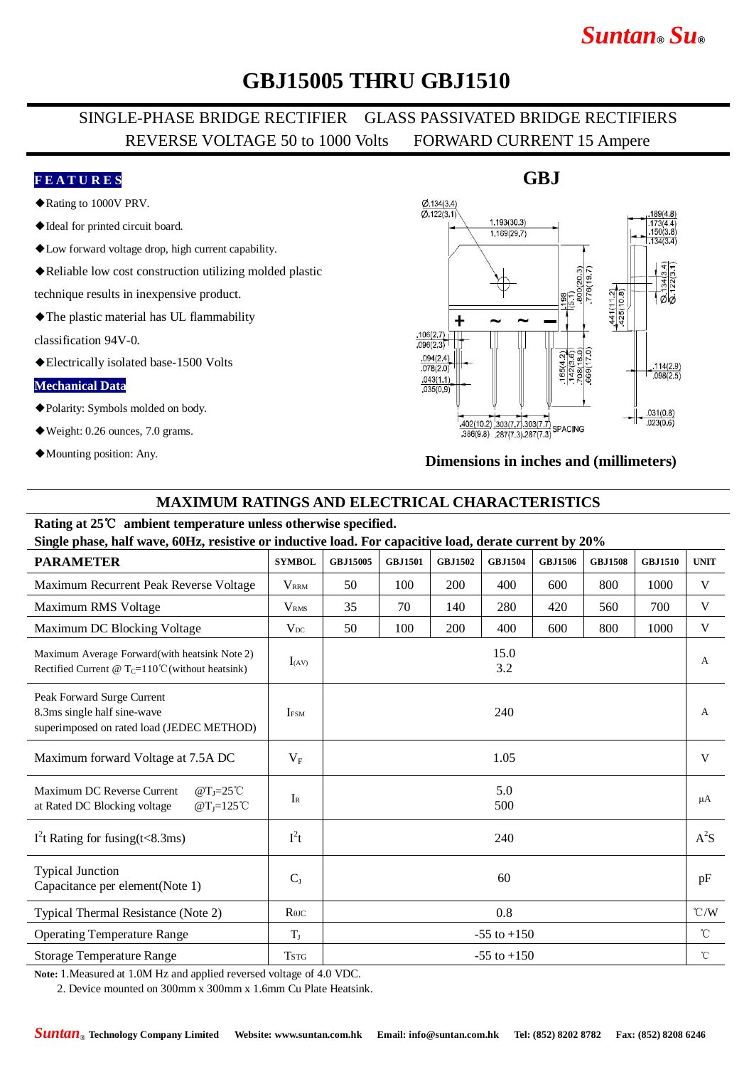# *Suntan***®** *Su***®**

# **GBJ15005 THRU GBJ1510**

### SINGLE-PHASE BRIDGE RECTIFIER GLASS PASSIVATED BRIDGE RECTIFIERS REVERSE VOLTAGE 50 to 1000 Volts FORWARD CURRENT 15 Ampere

#### **F E A T U R E S**

- ◆Rating to 1000V PRV.
- ◆Ideal for printed circuit board.
- ◆Low forward voltage drop, high current capability.
- ◆Reliable low cost construction utilizing molded plastic

technique results in inexpensive product.

◆The plastic material has UL flammability

classification 94V-0.

◆Electrically isolated base-1500 Volts

#### **Mechanical Data**

- ◆Polarity: Symbols molded on body.
- ◆Weight: 0.26 ounces, 7.0 grams.
- ◆Mounting position: Any.

#### $Ø$  134(3.4)  $\overline{0}$  122(3.1)  $1.193(30.3)$ 173(4<br>150(3 1.169(29.7) 441(112)<br>425(10.8)  $\sigma$ +  $.106(2.7)$  $.096(2.3)$ 65(4.2)  $.094(2.4)$  $\frac{.114(2.9)}{.098(2.5)}$  $.078(2.0)$  $.043(1.1)$  $.035(0.9)$  $031(0.8)$  $\frac{402(10.2)}{386(9.8)}$   $\frac{303(7.7)}{287(7.3)}$  327/7 3  $.023(0.6)$  $386(9.8)$   $287(7.3)$   $287(7.3)$

#### **Dimensions in inches and (millimeters)**

#### **MAXIMUM RATINGS AND ELECTRICAL CHARACTERISTICS**

### **Rating at 25**℃ **ambient temperature unless otherwise specified.**

**Single phase, half wave, 60Hz, resistive or inductive load. For capacitive load, derate current by 20%**

| онідіє ривоє, най-мате, обито, геогонте от підаєнте гова, і от сарасните гова, астане сагтене бу 2070          |                         |            |                |                |                 |                |                |                |               |
|----------------------------------------------------------------------------------------------------------------|-------------------------|------------|----------------|----------------|-----------------|----------------|----------------|----------------|---------------|
| <b>PARAMETER</b>                                                                                               | <b>SYMBOL</b>           | GBJ15005   | <b>GBJ1501</b> | <b>GBJ1502</b> | <b>GBJ1504</b>  | <b>GBJ1506</b> | <b>GBJ1508</b> | <b>GBJ1510</b> | <b>UNIT</b>   |
| Maximum Recurrent Peak Reverse Voltage                                                                         | <b>VRRM</b>             | 50         | 100            | 200            | 400             | 600            | 800            | 1000           | V             |
| Maximum RMS Voltage                                                                                            | <b>V</b> <sub>RMS</sub> | 35         | 70             | 140            | 280             | 420            | 560            | 700            | V             |
| Maximum DC Blocking Voltage                                                                                    | $V_{DC}$                | 50         | 100            | 200            | 400             | 600            | 800            | 1000           | V             |
| Maximum Average Forward (with heatsink Note 2)<br>Rectified Current @ $T_c = 110^{\circ}$ C (without heatsink) | $I_{(AV)}$              |            |                |                | 15.0<br>3.2     |                |                |                | A             |
| Peak Forward Surge Current<br>8.3ms single half sine-wave<br>superimposed on rated load (JEDEC METHOD)         | <b>IFSM</b>             | 240        |                |                |                 |                |                |                | $\mathsf{A}$  |
| Maximum forward Voltage at 7.5A DC                                                                             | $V_{\rm F}$             | 1.05       |                |                |                 |                |                |                | V             |
| Maximum DC Reverse Current<br>$@T_J=25°C$<br>at Rated DC Blocking voltage<br>$@T_J=125^{\circ}C$               | $I_{R}$                 | 5.0<br>500 |                |                |                 |                |                |                | μA            |
| $I2$ t Rating for fusing(t<8.3ms)                                                                              | $I^2t$                  | 240        |                |                |                 |                |                |                | $A^2S$        |
| <b>Typical Junction</b><br>Capacitance per element(Note 1)                                                     | $C_{J}$                 |            |                |                | 60              |                |                |                | pF            |
| Typical Thermal Resistance (Note 2)                                                                            | $R$ $\theta$ JC         |            |                |                | 0.8             |                |                |                | $\degree$ C/W |
| <b>Operating Temperature Range</b>                                                                             | $T_{J}$                 |            |                |                | $-55$ to $+150$ |                |                |                | $^{\circ}$ C  |
| <b>Storage Temperature Range</b>                                                                               | <b>TSTG</b>             |            |                |                | $-55$ to $+150$ |                |                |                | $^{\circ}$ C  |

**Note:** 1.Measured at 1.0M Hz and applied reversed voltage of 4.0 VDC.

2. Device mounted on 300mm x 300mm x 1.6mm Cu Plate Heatsink.

### **GBJ**